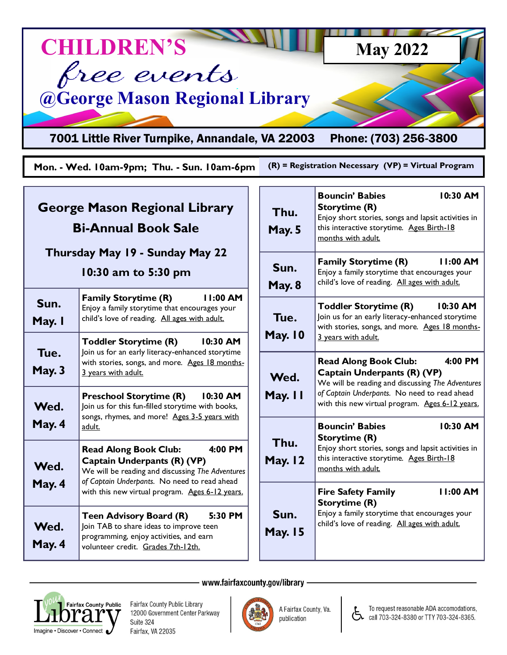

## **George Mason Regional Library Bi-Annual Book Sale**

## **Thursday May 19 - Sunday May 22**

## **10:30 am to 5:30 pm**

| Sun.<br>May. I        | <b>Family Storytime (R)</b><br>11:00 AM<br>Enjoy a family storytime that encourages your<br>child's love of reading. All ages with adult.                                                                                       |
|-----------------------|---------------------------------------------------------------------------------------------------------------------------------------------------------------------------------------------------------------------------------|
| Tue.<br><b>May. 3</b> | <b>Toddler Storytime (R)</b><br>10:30 AM<br>Join us for an early literacy-enhanced storytime<br>with stories, songs, and more. Ages 18 months-<br>3 years with adult.                                                           |
| Wed.<br>May. 4        | <b>Preschool Storytime (R)</b><br>10:30 AM<br>Join us for this fun-filled storytime with books,<br>songs, rhymes, and more! Ages 3-5 years with<br>adult.                                                                       |
| Wed.<br>May. 4        | $4:00$ PM<br><b>Read Along Book Club:</b><br>Captain Underpants (R) (VP)<br>We will be reading and discussing The Adventures<br>of Captain Underpants. No need to read ahead<br>with this new virtual program. Ages 6-12 years. |
| Wed.<br>May. 4        | $5:30$ PM<br><b>Teen Advisory Board (R)</b><br>Join TAB to share ideas to improve teen<br>programming, enjoy activities, and earn<br>volunteer credit. Grades 7th-12th.                                                         |

| Thu.<br><b>May. 5</b>  | <b>Bouncin' Babies</b><br>10:30 AM<br>Storytime (R)<br>Enjoy short stories, songs and lapsit activities in<br>this interactive storytime. Ages Birth-18<br>months with adult.                                                 |
|------------------------|-------------------------------------------------------------------------------------------------------------------------------------------------------------------------------------------------------------------------------|
| Sun.<br><b>May. 8</b>  | 11:00 AM<br><b>Family Storytime (R)</b><br>Enjoy a family storytime that encourages your<br>child's love of reading. All ages with adult.                                                                                     |
| Tue.<br><b>May. 10</b> | <b>Toddler Storytime (R)</b><br>$10:30$ AM<br>Join us for an early literacy-enhanced storytime<br>with stories, songs, and more. Ages 18 months-<br>3 years with adult.                                                       |
| Wed.<br>May. II        | 4:00 PM<br><b>Read Along Book Club:</b><br>Captain Underpants (R) (VP)<br>We will be reading and discussing The Adventures<br>of Captain Underpants. No need to read ahead<br>with this new virtual program. Ages 6-12 years. |
| Thu.<br><b>May. 12</b> | <b>Bouncin' Babies</b><br>10:30 AM<br>Storytime (R)<br>Enjoy short stories, songs and lapsit activities in<br>this interactive storytime. Ages Birth-18<br>months with adult.                                                 |
| Sun.<br><b>May. 15</b> | 11:00 AM<br><b>Fire Safety Family</b><br>Storytime (R)<br>Enjoy a family storytime that encourages your<br>child's love of reading. All ages with adult.                                                                      |

www.fairfaxcounty.gov/library -



Fairfax County Public Library 12000 Government Center Parkway Suite 324 Fairfax, VA 22035



A Fairfax County, Va. publication



To request reasonable ADA accomodations, call 703-324-8380 or TTY 703-324-8365.